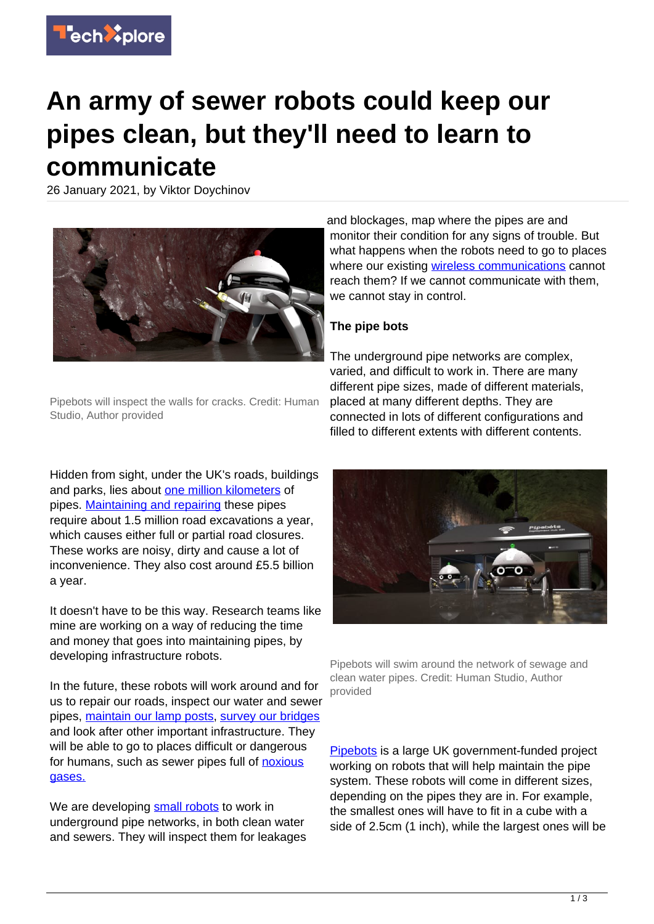

# **An army of sewer robots could keep our pipes clean, but they'll need to learn to communicate**

26 January 2021, by Viktor Doychinov



Pipebots will inspect the walls for cracks. Credit: Human Studio, Author provided

Hidden from sight, under the UK's roads, buildings and parks, lies about [one million kilometers](https://ukwir.org/eng/reports/05-WM-12-8/67056/Minimising-Street-Works-Disruption-The-Real-Costs-of-Street-Works-to-the-Utility-Industry-and-Society) of pipes. [Maintaining and repairing](https://www.icevirtuallibrary.com/doi/full/10.1680/jinam.17.00033) these pipes require about 1.5 million road excavations a year, which causes either full or partial road closures. These works are noisy, dirty and cause a lot of inconvenience. They also cost around £5.5 billion a year.

It doesn't have to be this way. Research teams like mine are working on a way of reducing the time and money that goes into maintaining pipes, by developing infrastructure robots.

In the future, these robots will work around and for us to repair our roads, inspect our water and sewer pipes, [maintain our lamp posts,](https://eprints.soton.ac.uk/411949/) [survey our bridges](https://ascelibrary.org/doi/10.1061/%28ASCE%29BE.1943-5592.0001442) and look after other important infrastructure. They will be able to go to places difficult or dangerous for humans, such as sewer pipes full of [noxious](https://www.researchgate.net/publication/319960262_A_design_of_toxic_gas_detecting_security_robot_car_based_on_wireless_path-patrol) [gases.](https://www.researchgate.net/publication/319960262_A_design_of_toxic_gas_detecting_security_robot_car_based_on_wireless_path-patrol)

We are developing [small robots](https://techxplore.com/tags/small+robots/) to work in underground pipe networks, in both clean water and sewers. They will inspect them for leakages and blockages, map where the pipes are and monitor their condition for any signs of trouble. But what happens when the robots need to go to places where our existing [wireless communications](https://techxplore.com/tags/wireless+communications/) cannot reach them? If we cannot communicate with them, we cannot stay in control.

## **The pipe bots**

The underground pipe networks are complex, varied, and difficult to work in. There are many different pipe sizes, made of different materials, placed at many different depths. They are connected in lots of different configurations and filled to different extents with different contents.



Pipebots will swim around the network of sewage and clean water pipes. Credit: Human Studio, Author provided

[Pipebots](https://pipebots.ac.uk/) is a large UK government-funded project working on robots that will help maintain the pipe system. These robots will come in different sizes, depending on the pipes they are in. For example, the smallest ones will have to fit in a cube with a side of 2.5cm (1 inch), while the largest ones will be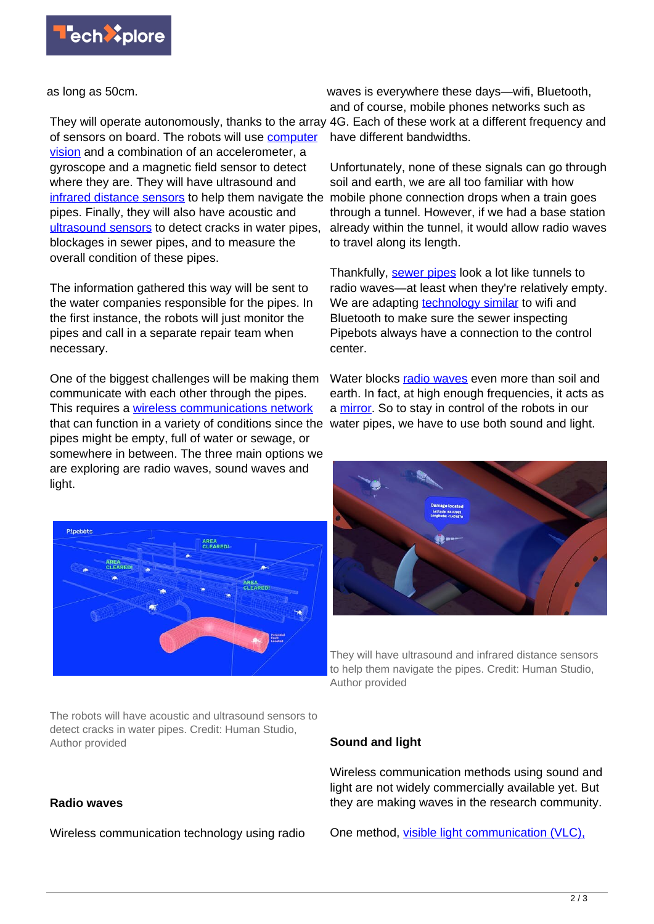

as long as 50cm.

They will operate autonomously, thanks to the array 4G. Each of these work at a different frequency and of sensors on board. The robots will use [computer](https://www.mdpi.com/2076-3417/10/19/6783) [vision](https://www.mdpi.com/2076-3417/10/19/6783) and a combination of an accelerometer, a gyroscope and a magnetic field sensor to detect where they are. They will have ultrasound and [infrared distance sensors](https://www.sciencedirect.com/science/article/abs/pii/S0921889002002713) to help them navigate the pipes. Finally, they will also have acoustic and [ultrasound sensors](https://www.sciencedirect.com/science/article/abs/pii/S0041624X20300238) to detect cracks in water pipes, blockages in sewer pipes, and to measure the overall condition of these pipes.

The information gathered this way will be sent to the water companies responsible for the pipes. In the first instance, the robots will just monitor the pipes and call in a separate repair team when necessary.

One of the biggest challenges will be making them communicate with each other through the pipes. This requires a [wireless communications network](https://techxplore.com/tags/wireless+communications+network/) that can function in a variety of conditions since the water pipes, we have to use both sound and light. pipes might be empty, full of water or sewage, or somewhere in between. The three main options we are exploring are radio waves, sound waves and light.



The robots will have acoustic and ultrasound sensors to detect cracks in water pipes. Credit: Human Studio, Author provided

### **Radio waves**

Wireless communication technology using radio

waves is everywhere these days—wifi, Bluetooth, and of course, mobile phones networks such as have different bandwidths.

Unfortunately, none of these signals can go through soil and earth, we are all too familiar with how mobile phone connection drops when a train goes through a tunnel. However, if we had a base station already within the tunnel, it would allow radio waves to travel along its length.

Thankfully, [sewer pipes](https://techxplore.com/tags/sewer+pipes/) look a lot like tunnels to radio waves—at least when they're relatively empty. We are adapting **technology** similar to wifi and Bluetooth to make sure the sewer inspecting Pipebots always have a connection to the control center.

Water blocks [radio waves](https://techxplore.com/tags/radio+waves/) even more than soil and earth. In fact, at high enough frequencies, it acts as a [mirror](https://www.electronics-notes.com/articles/antennas-propagation/propagation-overview/radio-em-wave-reflection.php). So to stay in control of the robots in our



They will have ultrasound and infrared distance sensors to help them navigate the pipes. Credit: Human Studio, Author provided

#### **Sound and light**

Wireless communication methods using sound and light are not widely commercially available yet. But they are making waves in the research community.

One method, [visible light communication \(VLC\),](https://www.mdpi.com/1424-8220/19/5/1153/htm)